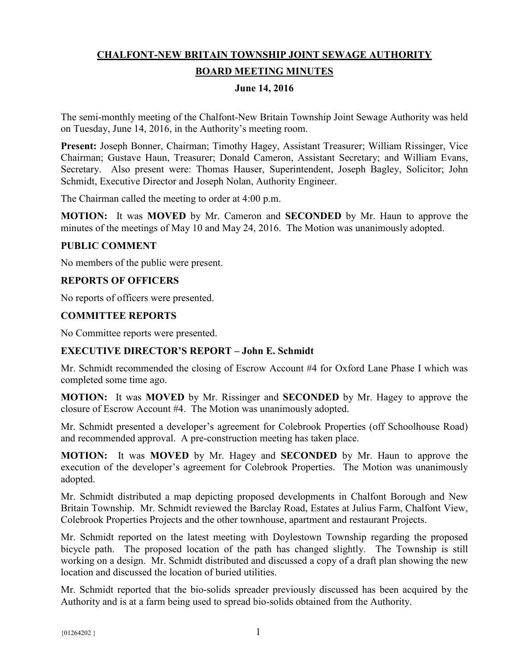# **CHALFONT-NEW BRITAIN TOWNSHIP JOINT SEWAGE AUTHORITY BOARD MEETING MINUTES**

## **June 14, 2016**

The semi-monthly meeting of the Chalfont-New Britain Township Joint Sewage Authority was held on Tuesday, June 14, 2016, in the Authority's meeting room.

**Present:** Joseph Bonner, Chairman; Timothy Hagey, Assistant Treasurer; William Rissinger, Vice Chairman; Gustave Haun, Treasurer; Donald Cameron, Assistant Secretary; and William Evans, Secretary. Also present were: Thomas Hauser, Superintendent, Joseph Bagley, Solicitor; John Schmidt, Executive Director and Joseph Nolan, Authority Engineer.

The Chairman called the meeting to order at 4:00 p.m.

**MOTION:** It was **MOVED** by Mr. Cameron and **SECONDED** by Mr. Haun to approve the minutes of the meetings of May 10 and May 24, 2016. The Motion was unanimously adopted.

#### **PUBLIC COMMENT**

No members of the public were present.

## **REPORTS OF OFFICERS**

No reports of officers were presented.

## **COMMITTEE REPORTS**

No Committee reports were presented.

## **EXECUTIVE DIRECTOR'S REPORT – John E. Schmidt**

Mr. Schmidt recommended the closing of Escrow Account #4 for Oxford Lane Phase I which was completed some time ago.

**MOTION:** It was **MOVED** by Mr. Rissinger and **SECONDED** by Mr. Hagey to approve the closure of Escrow Account #4. The Motion was unanimously adopted.

Mr. Schmidt presented a developer's agreement for Colebrook Properties (off Schoolhouse Road) and recommended approval. A pre-construction meeting has taken place.

**MOTION:** It was **MOVED** by Mr. Hagey and **SECONDED** by Mr. Haun to approve the execution of the developer's agreement for Colebrook Properties. The Motion was unanimously adopted.

Mr. Schmidt distributed a map depicting proposed developments in Chalfont Borough and New Britain Township. Mr. Schmidt reviewed the Barclay Road, Estates at Julius Farm, Chalfont View, Colebrook Properties Projects and the other townhouse, apartment and restaurant Projects.

Mr. Schmidt reported on the latest meeting with Doylestown Township regarding the proposed bicycle path. The proposed location of the path has changed slightly. The Township is still working on a design. Mr. Schmidt distributed and discussed a copy of a draft plan showing the new location and discussed the location of buried utilities.

Mr. Schmidt reported that the bio-solids spreader previously discussed has been acquired by the Authority and is at a farm being used to spread bio-solids obtained from the Authority.